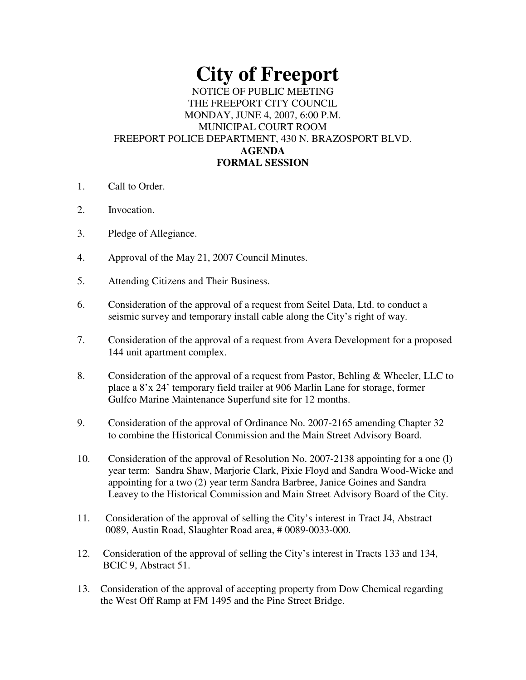# **City of Freeport**

# NOTICE OF PUBLIC MEETING THE FREEPORT CITY COUNCIL MONDAY, JUNE 4, 2007, 6:00 P.M. MUNICIPAL COURT ROOM FREEPORT POLICE DEPARTMENT, 430 N. BRAZOSPORT BLVD. **AGENDA FORMAL SESSION**

- 1. Call to Order.
- 2. Invocation.
- 3. Pledge of Allegiance.
- 4. Approval of the May 21, 2007 Council Minutes.
- 5. Attending Citizens and Their Business.
- 6. Consideration of the approval of a request from Seitel Data, Ltd. to conduct a seismic survey and temporary install cable along the City's right of way.
- 7. Consideration of the approval of a request from Avera Development for a proposed 144 unit apartment complex.
- 8. Consideration of the approval of a request from Pastor, Behling & Wheeler, LLC to place a 8'x 24' temporary field trailer at 906 Marlin Lane for storage, former Gulfco Marine Maintenance Superfund site for 12 months.
- 9. Consideration of the approval of Ordinance No. 2007-2165 amending Chapter 32 to combine the Historical Commission and the Main Street Advisory Board.
- 10. Consideration of the approval of Resolution No. 2007-2138 appointing for a one (l) year term: Sandra Shaw, Marjorie Clark, Pixie Floyd and Sandra Wood-Wicke and appointing for a two (2) year term Sandra Barbree, Janice Goines and Sandra Leavey to the Historical Commission and Main Street Advisory Board of the City.
- 11. Consideration of the approval of selling the City's interest in Tract J4, Abstract 0089, Austin Road, Slaughter Road area, # 0089-0033-000.
- 12. Consideration of the approval of selling the City's interest in Tracts 133 and 134, BCIC 9, Abstract 51.
- 13. Consideration of the approval of accepting property from Dow Chemical regarding the West Off Ramp at FM 1495 and the Pine Street Bridge.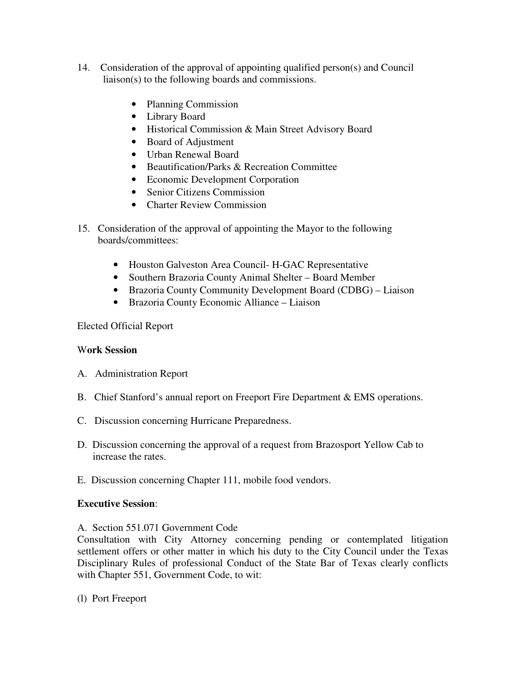- 14. Consideration of the approval of appointing qualified person(s) and Council liaison(s) to the following boards and commissions.
	- Planning Commission
	- Library Board
	- Historical Commission & Main Street Advisory Board
	- Board of Adjustment
	- Urban Renewal Board
	- Beautification/Parks & Recreation Committee
	- Economic Development Corporation
	- Senior Citizens Commission
	- Charter Review Commission
- 15. Consideration of the approval of appointing the Mayor to the following boards/committees:
	- Houston Galveston Area Council- H-GAC Representative
	- Southern Brazoria County Animal Shelter Board Member
	- Brazoria County Community Development Board (CDBG) Liaison
	- Brazoria County Economic Alliance Liaison

# Elected Official Report

# W**ork Session**

- A. Administration Report
- B. Chief Stanford's annual report on Freeport Fire Department & EMS operations.
- C. Discussion concerning Hurricane Preparedness.
- D. Discussion concerning the approval of a request from Brazosport Yellow Cab to increase the rates.
- E. Discussion concerning Chapter 111, mobile food vendors.

#### **Executive Session**:

A. Section 551.071 Government Code

Consultation with City Attorney concerning pending or contemplated litigation settlement offers or other matter in which his duty to the City Council under the Texas Disciplinary Rules of professional Conduct of the State Bar of Texas clearly conflicts with Chapter 551, Government Code, to wit:

(l) Port Freeport